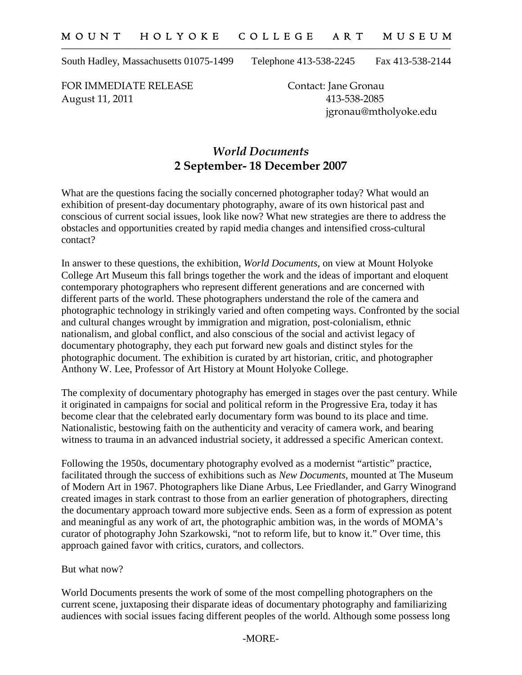South Hadley, Massachusetts 01075-1499 Telephone 413-538-2245 Fax 413-538-2144

FOR IMMEDIATE RELEASE Contact: Jane Gronau August 11, 2011 413-538-2085

jgronau@mtholyoke.edu

## *World Documents* **2 September- 18 December 2007**

What are the questions facing the socially concerned photographer today? What would an exhibition of present-day documentary photography, aware of its own historical past and conscious of current social issues, look like now? What new strategies are there to address the obstacles and opportunities created by rapid media changes and intensified cross-cultural contact?

In answer to these questions, the exhibition, *World Documents*, on view at Mount Holyoke College Art Museum this fall brings together the work and the ideas of important and eloquent contemporary photographers who represent different generations and are concerned with different parts of the world. These photographers understand the role of the camera and photographic technology in strikingly varied and often competing ways. Confronted by the social and cultural changes wrought by immigration and migration, post-colonialism, ethnic nationalism, and global conflict, and also conscious of the social and activist legacy of documentary photography, they each put forward new goals and distinct styles for the photographic document. The exhibition is curated by art historian, critic, and photographer Anthony W. Lee, Professor of Art History at Mount Holyoke College.

The complexity of documentary photography has emerged in stages over the past century. While it originated in campaigns for social and political reform in the Progressive Era, today it has become clear that the celebrated early documentary form was bound to its place and time. Nationalistic, bestowing faith on the authenticity and veracity of camera work, and bearing witness to trauma in an advanced industrial society, it addressed a specific American context.

Following the 1950s, documentary photography evolved as a modernist "artistic" practice, facilitated through the success of exhibitions such as *New Documents*, mounted at The Museum of Modern Art in 1967. Photographers like Diane Arbus, Lee Friedlander, and Garry Winogrand created images in stark contrast to those from an earlier generation of photographers, directing the documentary approach toward more subjective ends. Seen as a form of expression as potent and meaningful as any work of art, the photographic ambition was, in the words of MOMA's curator of photography John Szarkowski, "not to reform life, but to know it." Over time, this approach gained favor with critics, curators, and collectors.

But what now?

World Documents presents the work of some of the most compelling photographers on the current scene, juxtaposing their disparate ideas of documentary photography and familiarizing audiences with social issues facing different peoples of the world. Although some possess long